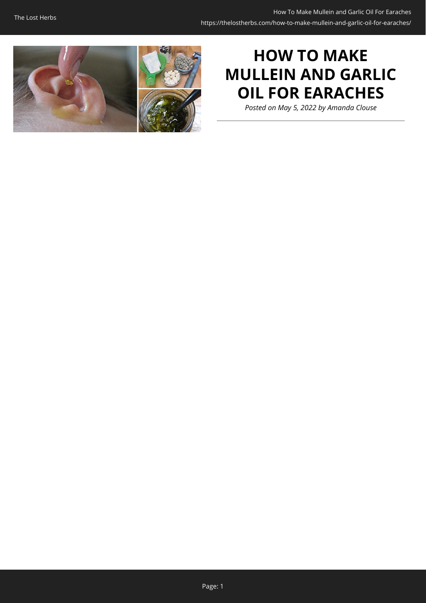

## **HOW TO MAKE MULLEIN AND GARLIC OIL FOR EARACHES**

*Posted on May 5, 2022 by Amanda Clouse*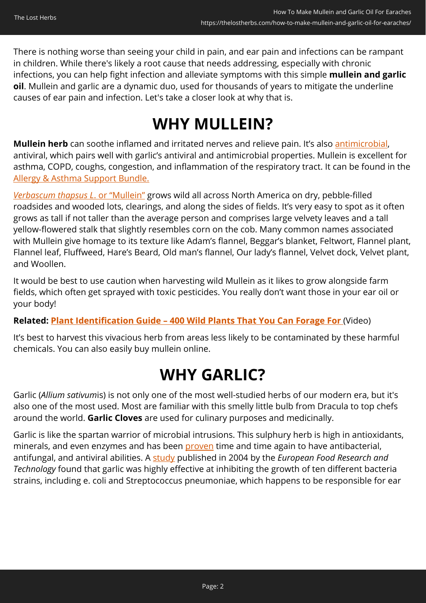There is nothing worse than seeing your child in pain, and ear pain and infections can be rampant in children. While there's likely a root cause that needs addressing, especially with chronic infections, you can help fight infection and alleviate symptoms with this simple **mullein and garlic oil**. Mullein and garlic are a dynamic duo, used for thousands of years to mitigate the underline causes of ear pain and infection. Let's take a closer look at why that is.

## **WHY MULLEIN?**

**Mullein herb** can soothe inflamed and irritated nerves and relieve pain. It's also [antimicrobial,](https://onlinelibrary.wiley.com/doi/full/10.1002/ptr.7393) antiviral, which pairs well with garlic's antiviral and antimicrobial properties. Mullein is excellent for asthma, COPD, coughs, congestion, and inflammation of the respiratory tract. It can be found in the [Allergy & Asthma Support Bundle.](https://nicolesapothecary.com/collections/all/products/allergy-asthma-support-bundle?rfsn=5642246.05c3d29&utm_source=refersion&utm_medium=affiliate&utm_campaign=5642246.05c3d29&subid=C02EaracheAAS)

*[Verbascum thapsus L](https://onlinelibrary.wiley.com/doi/full/10.1002/ptr.7393)*[. or "Mullein"](https://onlinelibrary.wiley.com/doi/full/10.1002/ptr.7393) grows wild all across North America on dry, pebble-filled roadsides and wooded lots, clearings, and along the sides of fields. It's very easy to spot as it often grows as tall if not taller than the average person and comprises large velvety leaves and a tall yellow-flowered stalk that slightly resembles corn on the cob. Many common names associated with Mullein give homage to its texture like Adam's flannel, Beggar's blanket, Feltwort, Flannel plant, Flannel leaf, Fluffweed, Hare's Beard, Old man's flannel, Our lady's flannel, Velvet dock, Velvet plant, and Woollen.

It would be best to use caution when harvesting wild Mullein as it likes to grow alongside farm fields, which often get sprayed with toxic pesticides. You really don't want those in your ear oil or your body!

**Related: [Plant Identification Guide – 400 Wild Plants That You Can Forage For](https://hop.clickbank.net/?affiliate=easycellar&vendor=wfguide&tid=C02EaracheOilFGW2)** (Video)

It's best to harvest this vivacious herb from areas less likely to be contaminated by these harmful chemicals. You can also easily buy mullein online.

# **WHY GARLIC?**

Garlic (*Allium sativum*is) is not only one of the most well-studied herbs of our modern era, but it's also one of the most used. Most are familiar with this smelly little bulb from Dracula to top chefs around the world. **Garlic Cloves** are used for culinary purposes and medicinally.

Garlic is like the spartan warrior of microbial intrusions. This sulphury herb is high in antioxidants, minerals, and even enzymes and has been [proven](https://www.degruyter.com/document/doi/10.2202/1553-3840.1084/html) time and time again to have antibacterial, antifungal, and antiviral abilities. A [study](https://link.springer.com/article/10.1007/s00217-003-0864-3) published in 2004 by the *European Food Research and Technology* found that garlic was highly effective at inhibiting the growth of ten different bacteria strains, including e. coli and Streptococcus pneumoniae, which happens to be responsible for ear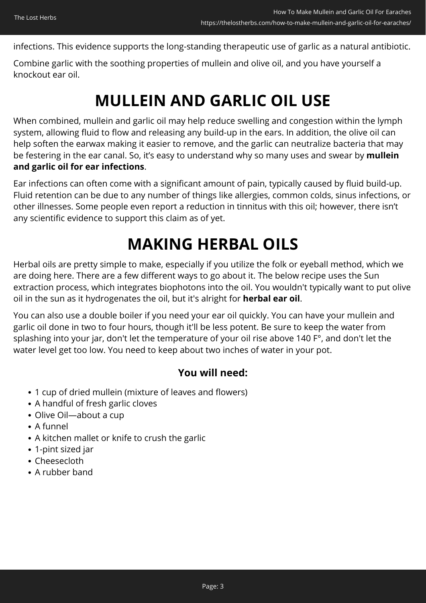infections. This evidence supports the long-standing therapeutic use of garlic as a natural antibiotic.

Combine garlic with the soothing properties of mullein and olive oil, and you have yourself a knockout ear oil.

# **MULLEIN AND GARLIC OIL USE**

When combined, mullein and garlic oil may help reduce swelling and congestion within the lymph system, allowing fluid to flow and releasing any build-up in the ears. In addition, the olive oil can help soften the earwax making it easier to remove, and the garlic can neutralize bacteria that may be festering in the ear canal. So, it's easy to understand why so many uses and swear by **mullein and garlic oil for ear infections**.

Ear infections can often come with a significant amount of pain, typically caused by fluid build-up. Fluid retention can be due to any number of things like allergies, common colds, sinus infections, or other illnesses. Some people even report a reduction in tinnitus with this oil; however, there isn't any scientific evidence to support this claim as of yet.

## **MAKING HERBAL OILS**

Herbal oils are pretty simple to make, especially if you utilize the folk or eyeball method, which we are doing here. There are a few different ways to go about it. The below recipe uses the Sun extraction process, which integrates biophotons into the oil. You wouldn't typically want to put olive oil in the sun as it hydrogenates the oil, but it's alright for **herbal ear oil**.

You can also use a double boiler if you need your ear oil quickly. You can have your mullein and garlic oil done in two to four hours, though it'll be less potent. Be sure to keep the water from splashing into your jar, don't let the temperature of your oil rise above 140 F°, and don't let the water level get too low. You need to keep about two inches of water in your pot.

### **You will need:**

- 1 cup of dried mullein (mixture of leaves and flowers)
- A handful of fresh garlic cloves
- Olive Oil—about a cup
- A funnel
- A kitchen mallet or knife to crush the garlic
- 1-pint sized jar
- Cheesecloth
- A rubber band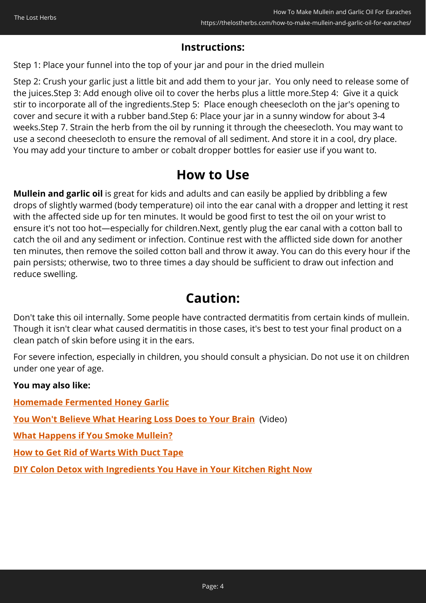#### **Instructions:**

Step 1: Place your funnel into the top of your jar and pour in the dried mullein

Step 2: Crush your garlic just a little bit and add them to your jar. You only need to release some of the juices.Step 3: Add enough olive oil to cover the herbs plus a little more.Step 4: Give it a quick stir to incorporate all of the ingredients.Step 5: Place enough cheesecloth on the jar's opening to cover and secure it with a rubber band.Step 6: Place your jar in a sunny window for about 3-4 weeks.Step 7. Strain the herb from the oil by running it through the cheesecloth. You may want to use a second cheesecloth to ensure the removal of all sediment. And store it in a cool, dry place. You may add your tincture to amber or cobalt dropper bottles for easier use if you want to.

### **How to Use**

**Mullein and garlic oil** is great for kids and adults and can easily be applied by dribbling a few drops of slightly warmed (body temperature) oil into the ear canal with a dropper and letting it rest with the affected side up for ten minutes. It would be good first to test the oil on your wrist to ensure it's not too hot—especially for children.Next, gently plug the ear canal with a cotton ball to catch the oil and any sediment or infection. Continue rest with the afflicted side down for another ten minutes, then remove the soiled cotton ball and throw it away. You can do this every hour if the pain persists; otherwise, two to three times a day should be sufficient to draw out infection and reduce swelling.

### **Caution:**

Don't take this oil internally. Some people have contracted dermatitis from certain kinds of mullein. Though it isn't clear what caused dermatitis in those cases, it's best to test your final product on a clean patch of skin before using it in the ears.

For severe infection, especially in children, you should consult a physician. Do not use it on children under one year of age.

#### **You may also like:**

**[Homemade Fermented Honey Garlic](https://thelostherbs.com/homemade-fermented-honey-garlic/)**

**[You Won't Believe What Hearing Loss Does to Your Brain](https://hop.clickbank.net/?affiliate=easycellar&vendor=eellc21&cbpage=dsv&tid=C02EaracheOilSYN)** (Video)

**[What Happens if You Smoke Mullein?](https://thelostherbs.com/what-happens-if-you-smoke-mullein/)**

**[How to Get Rid of Warts With Duct Tape](https://thelostherbs.com/how-to-get-rid-of-warts-with-duct-tape/)**

**[DIY Colon Detox with Ingredients You Have in Your Kitchen Right Now](https://thelostherbs.com/diy-colon-detox-with-ingredients-you-have-in-your-kitchen-right-now/)**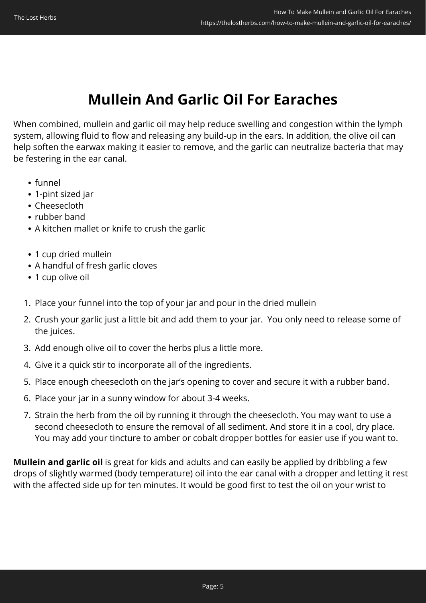### **Mullein And Garlic Oil For Earaches**

When combined, mullein and garlic oil may help reduce swelling and congestion within the lymph system, allowing fluid to flow and releasing any build-up in the ears. In addition, the olive oil can help soften the earwax making it easier to remove, and the garlic can neutralize bacteria that may be festering in the ear canal.

- funnel
- 1-pint sized jar
- Cheesecloth
- rubber band
- A kitchen mallet or knife to crush the garlic
- 1 cup dried mullein
- A handful of fresh garlic cloves
- 1 cup olive oil
- 1. Place your funnel into the top of your jar and pour in the dried mullein
- 2. Crush your garlic just a little bit and add them to your jar. You only need to release some of the juices.
- 3. Add enough olive oil to cover the herbs plus a little more.
- 4. Give it a quick stir to incorporate all of the ingredients.
- 5. Place enough cheesecloth on the jar's opening to cover and secure it with a rubber band.
- 6. Place your jar in a sunny window for about 3-4 weeks.
- 7. Strain the herb from the oil by running it through the cheesecloth. You may want to use a second cheesecloth to ensure the removal of all sediment. And store it in a cool, dry place. You may add your tincture to amber or cobalt dropper bottles for easier use if you want to.

**Mullein and garlic oil** is great for kids and adults and can easily be applied by dribbling a few drops of slightly warmed (body temperature) oil into the ear canal with a dropper and letting it rest with the affected side up for ten minutes. It would be good first to test the oil on your wrist to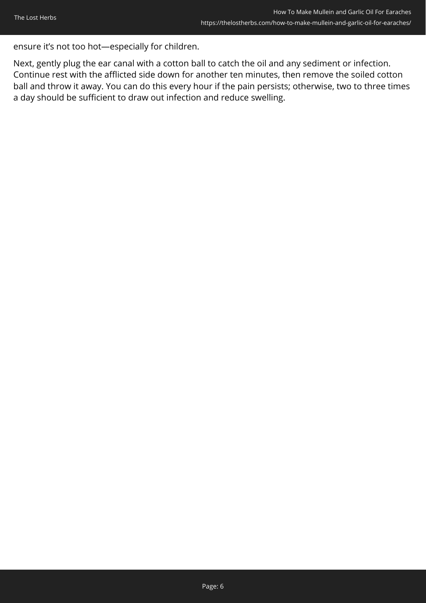ensure it's not too hot—especially for children.

Next, gently plug the ear canal with a cotton ball to catch the oil and any sediment or infection. Continue rest with the afflicted side down for another ten minutes, then remove the soiled cotton ball and throw it away. You can do this every hour if the pain persists; otherwise, two to three times a day should be sufficient to draw out infection and reduce swelling.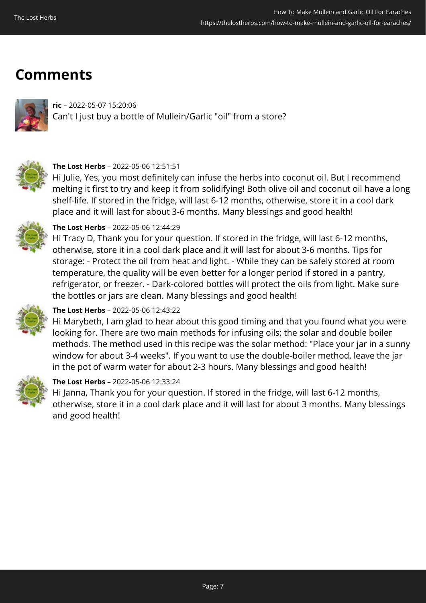### **Comments**



**ric** – 2022-05-07 15:20:06 Can't I just buy a bottle of Mullein/Garlic "oil" from a store?



#### **The Lost Herbs** – 2022-05-06 12:51:51

Hi Julie, Yes, you most definitely can infuse the herbs into coconut oil. But I recommend melting it first to try and keep it from solidifying! Both olive oil and coconut oil have a long shelf-life. If stored in the fridge, will last 6-12 months, otherwise, store it in a cool dark place and it will last for about 3-6 months. Many blessings and good health!



#### **The Lost Herbs** – 2022-05-06 12:44:29

Hi Tracy D, Thank you for your question. If stored in the fridge, will last 6-12 months, otherwise, store it in a cool dark place and it will last for about 3-6 months. Tips for storage: - Protect the oil from heat and light. - While they can be safely stored at room temperature, the quality will be even better for a longer period if stored in a pantry, refrigerator, or freezer. - Dark-colored bottles will protect the oils from light. Make sure the bottles or jars are clean. Many blessings and good health!



#### **The Lost Herbs** – 2022-05-06 12:43:22

Hi Marybeth, I am glad to hear about this good timing and that you found what you were looking for. There are two main methods for infusing oils; the solar and double boiler methods. The method used in this recipe was the solar method: "Place your jar in a sunny window for about 3-4 weeks". If you want to use the double-boiler method, leave the jar in the pot of warm water for about 2-3 hours. Many blessings and good health!



#### **The Lost Herbs** – 2022-05-06 12:33:24

Hi Janna, Thank you for your question. If stored in the fridge, will last 6-12 months, otherwise, store it in a cool dark place and it will last for about 3 months. Many blessings and good health!